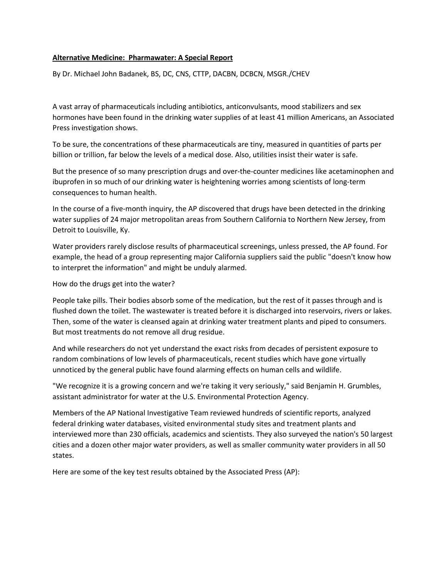## **Alternative Medicine:Pharmawater: A Special Report**

By Dr. Michael John Badanek, BS, DC, CNS, CTTP, DACBN, DCBCN, MSGR./CHEV

A vast array of pharmaceuticals including antibiotics, anticonvulsants, mood stabilizers and sex hormones have been found in the drinking water supplies of at least 41 million Americans, an Associated Press investigation shows.

To be sure, the concentrations of these pharmaceuticals are tiny, measured in quantities of parts per billion or trillion, far below the levels of a medical dose. Also, utilities insist their water is safe.

But the presence of so many prescription drugs and over-the-counter medicines like acetaminophen and ibuprofen in so much of our drinking water is heightening worries among scientists of long-term consequences to human health.

In the course of a five-month inquiry, the AP discovered that drugs have been detected in the drinking water supplies of 24 major metropolitan areas from Southern California to Northern New Jersey, from Detroit to Louisville, Ky.

Water providers rarely disclose results of pharmaceutical screenings, unless pressed, the AP found. For example, the head of a group representing major California suppliers said the public "doesn't know how to interpret the information" and might be unduly alarmed.<br>How do the drugs get into the water?

People take pills. Their bodies absorb some of the medication, but the rest of it passes through and is flushed down the toilet. The wastewater is treated before it is discharged into reservoirs, rivers or lakes. Then, some of the water is cleansed again at drinking water treatment plants and piped to consumers. But most treatments do not remove all drug residue.

And while researchers do not yet understand the exact risks from decades of persistent exposure to random combinations of low levels of pharmaceuticals, recent studies which have gone virtually unnoticed by the general public have found alarming effects on human cells and wildlife.

"We recognize it is a growing concern and we're taking it very seriously," said Benjamin H.Grumbles, assistant administrator for water at the U.S. Environmental Protection Agency.

Members of the AP National Investigative Team reviewed hundreds of scientific reports, analyzed federal drinking water databases, visited environmental study sites and treatment plants and interviewed more than 230 officials, academics and scientists. They also surveyed the nation's 50 largest cities and a dozen other major water providers, as well as smaller community water providers in all 50 states.

Here are some of the key test results obtained by the Associated Press (AP):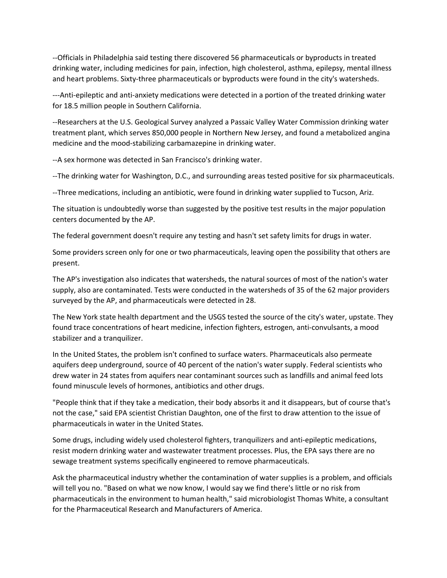--Officials in Philadelphia said testing there discovered 56 pharmaceuticals or byproducts in treated drinking water, including medicines for pain, infection, high cholesterol, asthma, epilepsy, mental illness and heart problems. Sixty-three pharmaceuticals or byproducts were found in the city's watersheds.

---Anti-epileptic and anti-anxiety medications were detected in a portion of the treated drinking water for 18.5 million people in Southern California.

--Researchers at the U.S. Geological Survey analyzed a Passaic Valley Water Commission drinking water treatment plant, which serves 850,000 people in Northern New Jersey, and found a metabolized angina medicine and the mood-stabilizing carbamazepine in drinking water.

--A sex hormone was detected in San Francisco's drinking water.

--The drinking water for Washington, D.C., and surrounding areas tested positive for six pharmaceuticals.

--Three medications, including an antibiotic, were found in drinking water supplied to Tucson, Ariz.

The situation is undoubtedly worse than suggested by the positive test results in the major population centers documented by the AP.

The federal government doesn't require any testing and hasn't set safety limits for drugs in water.

Some providers screen only forone or two pharmaceuticals, leaving open the possibility that others are present.

The AP's investigation also indicates that watersheds, the natural sources of most of the nation's water supply, also are contaminated. Tests were conducted in the watersheds of 35 of the 62 major providers surveyed by the AP, and pharmaceuticals were detected in 28.

The New York state health department and the USGS tested the source of the city's water, upstate. They found trace concentrations of heart medicine, infection fighters, estrogen, anti-convulsants, a mood stabilizer and a tranquilizer.

In the United States, the problem isn't confined to surface waters. Pharmaceuticals also permeate aquifers deep underground, source of 40 percent of the nation's water supply. Federal scientists who drew water in24 states from aquifers near contaminant sources such as landfills and animal feed lots found minuscule levels of hormones, antibiotics and other drugs.<br>"People think that if they take a medication, their body absorbs it and it disappears, but of course that's

not the case," said EPA scientist Christian Daughton, one of the first to draw attention to the issue of pharmaceuticals in water in the United States.

Some drugs, including widely used cholesterol fighters, tranquilizers and anti-epileptic medications, resist modern drinking water and wastewater treatment processes. Plus, the EPA says there are no sewage treatment systems specifically engineered to remove pharmaceuticals.

Ask the pharmaceutical industry whether the contamination of water supplies is a problem, and officials will tell you no. "Based on what we now know, I would say we find there's little or no risk from pharmaceuticals in the environment to human health," said microbiologist Thomas White, a consultant for the Pharmaceutical Research and Manufacturers of America.